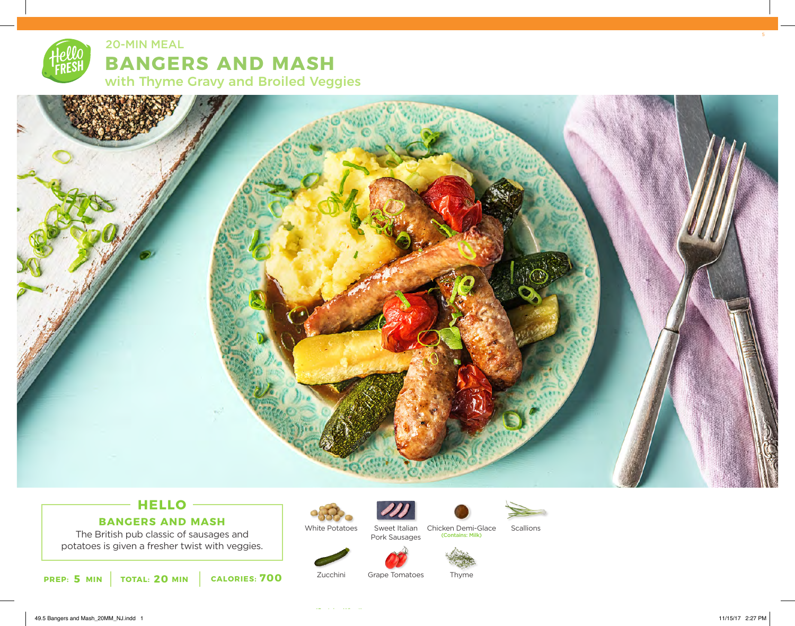

**BANGERS AND MASH**  with Thyme Gravy and Broiled Veggies 20-MIN MEAL



## **HELLO BANGERS AND MASH**

The British pub classic of sausages and potatoes is given a fresher twist with veggies.



White Potatoes



Pork Sausages



Sweet Italian Chicken Demi-Glace Scallions<br>Pork Sausages (Contains: Milk)



Zucchini Grape Tomatoes

Thyme

49.5 Bangers and Mash\_20MM\_NJ.indd 1 11/15/17 2:27 PM